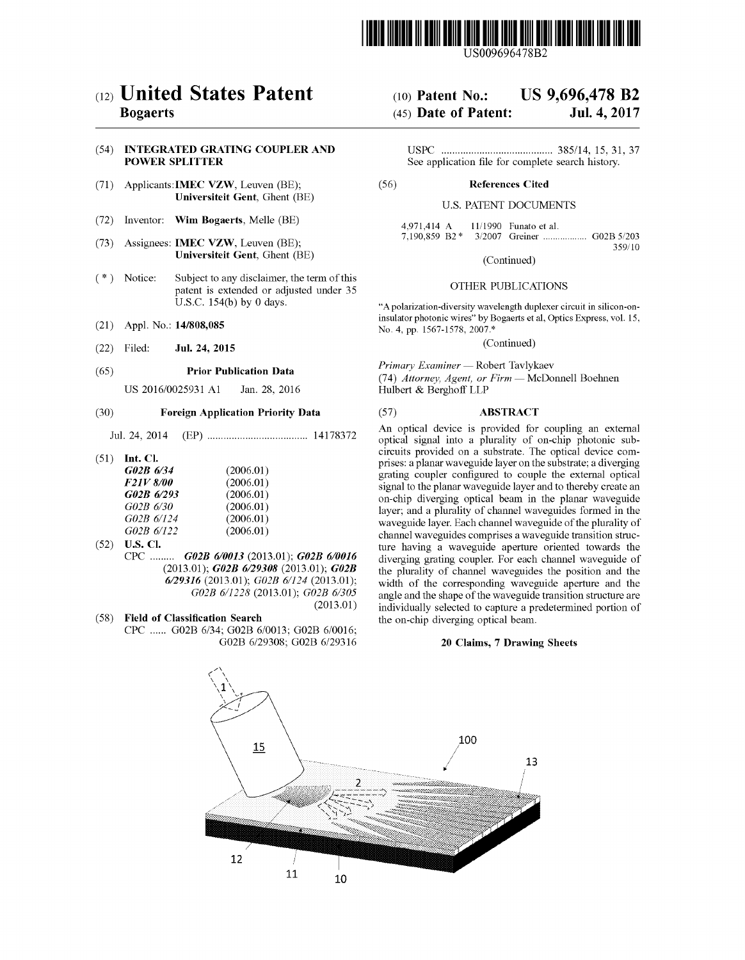

US009696478B2

# (12) United States Patent

### Bogaerts

#### (54) INTEGRATED GRATING COUPLER AND POWER SPLITTER

- (71) Applicants:IMEC VZW, Leuven (BE); Universiteit Gent, Ghent (BE)
- (72) Inventor: Wim Bogaerts, Melle (BE)
- (73) Assignees: IMEC VZW, Leuven (BE); Universiteit Gent, Ghent (BE)
- (\*) Notice: Subject to any disclaimer, the term of this patent is extended or adjusted under 35 U.S.C. 154(b) by 0 days.
- (21) Appl. No.: 14/808,085
- (22) Filed: Jul. 24, 2015

#### (65) Prior Publication Data

US 2016/0025931 A1 Jan. 28, 2016

#### (30) Foreign Application Priority Data

Jul. 24, 2014 (EP) ..................................... 14178372

(51) Int. Cl.

| G02B 6/34        | (2006.01) |
|------------------|-----------|
| <b>F21V 8/00</b> | (2006.01) |
| G02B 6/293       | (2006.01) |
| G02B 6/30        | (2006.01) |
| G02B 6/124       | (2006.01) |
| G02B 6/122       | (2006.01) |
|                  |           |

- (52) U.S. Cl.
	- CPC ......... GO2B 6/0013 (2013.01); GO2B 6/0016 (2013.01); GO2B 6/29308 (2013.01); GO2B 6/29316 (2013.01); G02B 6/124 (2013.01); G02B 6/1228 (2013.01); GO2B 6/305 (2013.01)
- (58) Field of Classification Search CPC ......GO2B 6/34; GO2B 6/0013; GO2B 6/0016; GO2B 6/29308; GO2B 6/29316

# (10) Patent No.: US 9,696,478 B2

## (45) Date of Patent: Jul. 4, 2017

USPC ......................................... 385/14, 15, 31, 37 See application file for complete search history.

#### (56) References Cited

#### U.S. PATENT DOCUMENTS

4,971,414 A 11/1990 Funato et al.<br>7,190,859 B2 \* 3/2007 Greiner ....... 3/2007 Greiner ................... G02B 5/203 359/10

(Continued)

#### OTHER PUBLICATIONS

"A polarization-diversity wavelength duplexer circuit in silicon-oninsulator photonic wires" by Bogaerts et al, Optics Express, vol. 15, No. 4, pp. 1567-1578, 2007.\*

(Continued)

Primary Examiner - Robert Tavlykaev

(74) Attorney, Agent, or  $Firm$  - McDonnell Boehnen Hulbert & Berghoff LLP

#### (57) ABSTRACT

An optical device is provided for coupling an external optical signal into a plurality of on-chip photonic subcircuits provided on a substrate. The optical device comprises: a planar waveguide layer on the substrate; a diverging grating coupler confgured to couple the external optical signal to the planar waveguide layer and to thereby create an on-chip diverging optical beam in the planar waveguide layer; and a plurality of channel waveguides formed in the waveguide layer. Each channel waveguide of the plurality of channel waveguides comprises a waveguide transition structure having a waveguide aperture oriented towards the diverging grating coupler. For each channel waveguide of the plurality of channel waveguides the position and the width of the corresponding waveguide aperture and the angle and the shape of the waveguide transition structure are individually selected to capture a predetermined portion of the on-chip diverging optical beam.

#### 20 Claims, 7 Drawing Sheets

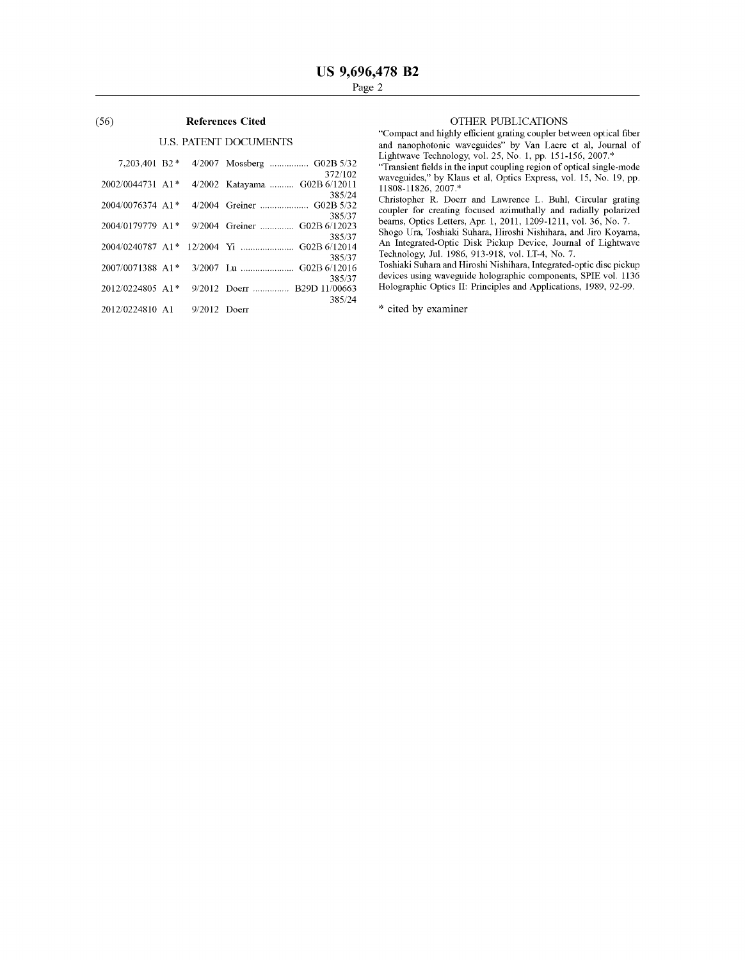#### (56) References Cited

### U.S. PATENT DOCUMENTS

| 7,203,401 B2 *                  |  | 4/2007 Mossberg  G02B 5/32                    |
|---------------------------------|--|-----------------------------------------------|
|                                 |  | 372/102                                       |
| 2002/0044731 A1*                |  | 4/2002 Katayama  G02B 6/12011                 |
| $2004/0076374$ A1 <sup>*</sup>  |  | 385/24                                        |
|                                 |  | 385/37                                        |
|                                 |  | 2004/0179779 A1* 9/2004 Greiner  G02B 6/12023 |
|                                 |  | 385/37                                        |
|                                 |  |                                               |
|                                 |  | 385/37                                        |
|                                 |  | 385/37                                        |
| $2012/0224805$ A <sub>1</sub> * |  | 9/2012 Doerr  B29D 11/00663                   |
|                                 |  | 385/24                                        |
| 2012/0224810 A1 9/2012 Doerr    |  |                                               |
|                                 |  |                                               |

#### OTHER PUBLICATIONS

"Compact and highly efficient grating coupler between optical fiber and nanophotonic waveguides" by Van Laere et al, Journal of Lightwave Technology, vol. 25, No. 1, pp. 15 1-156, 2007.\*

"Transient fields in the input coupling region of optical single-mode waveguides," by Klaus et al, Optics Express, vol. 15, No. 19, pp. 11808-11826, 2007.\*

Christopher R. Doerr and Lawrence L. Buhl, Circular grating coupler for creating focused azimuthally and radially polarized beams, Optics Letters, Apr. 1, 2011, 1209-1211, vol. 36, No. 7.

Shogo Ura, Toshiald Suhara, Hiroshi Nishihara, and Jiro Koyama, An Integrated-Optic Disk Pickup Device, Journal of Lightwave Technology, Jul. 1986, 913-918, vol. LT-4, No. 7.

Toshiaki Suhara and Hiroshi Nishihara, Integrated-optic disc pickup devices using waveguide holographic components, SPIE vol. 1136 Holographic Optics II: Principles and Applications, 1989, 92-99.

\* cited by examiner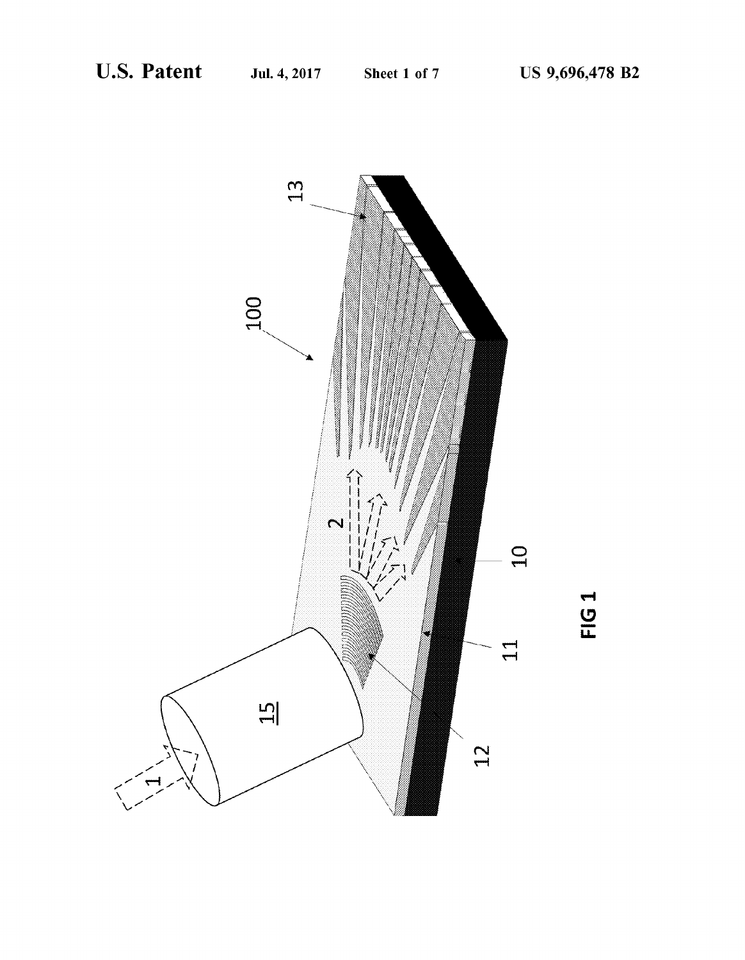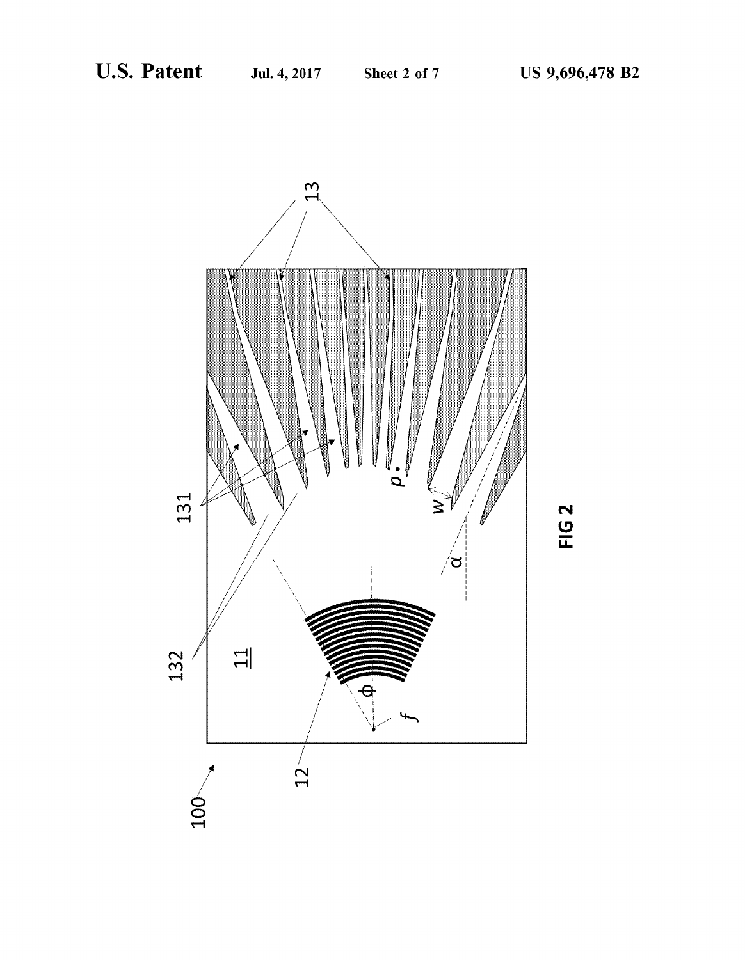

FIG<sub>2</sub>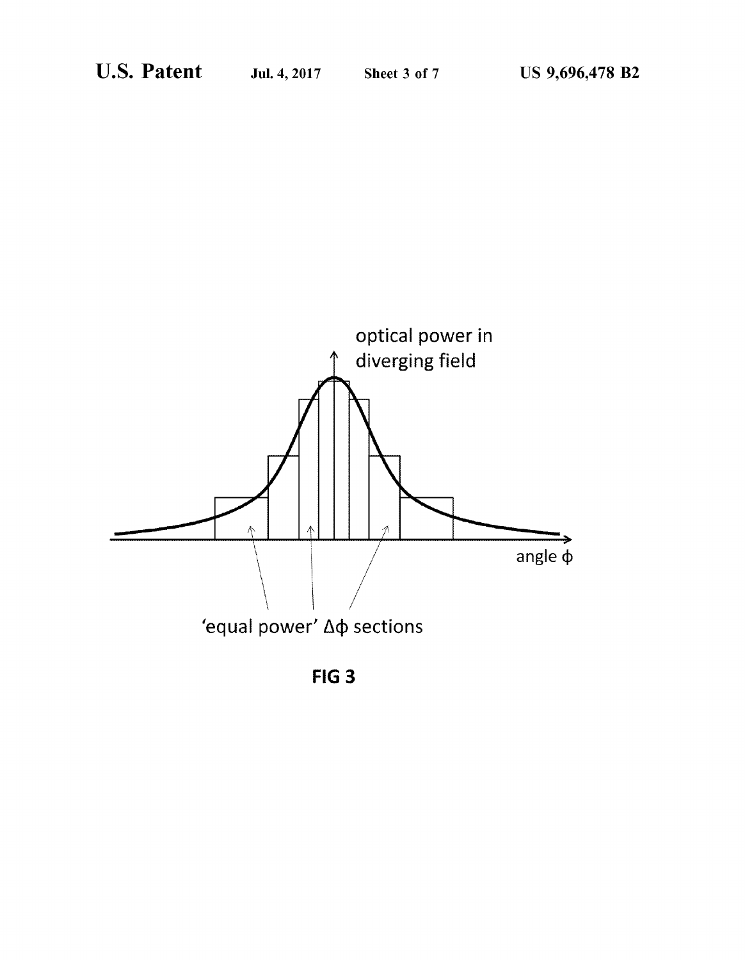

FIG<sub>3</sub>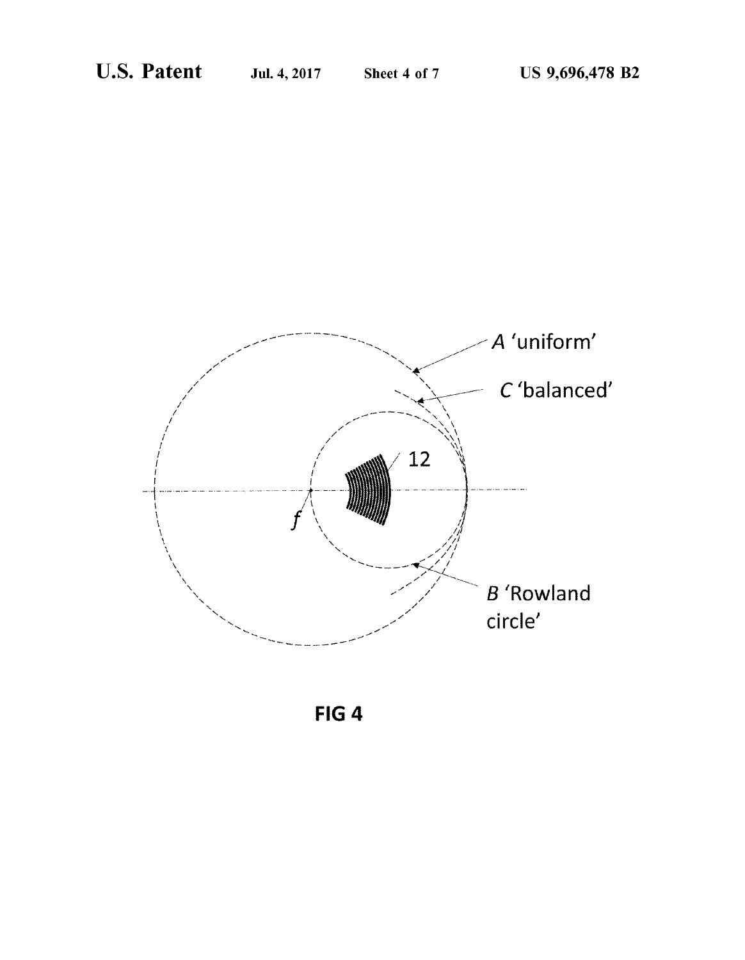

FIG<sub>4</sub>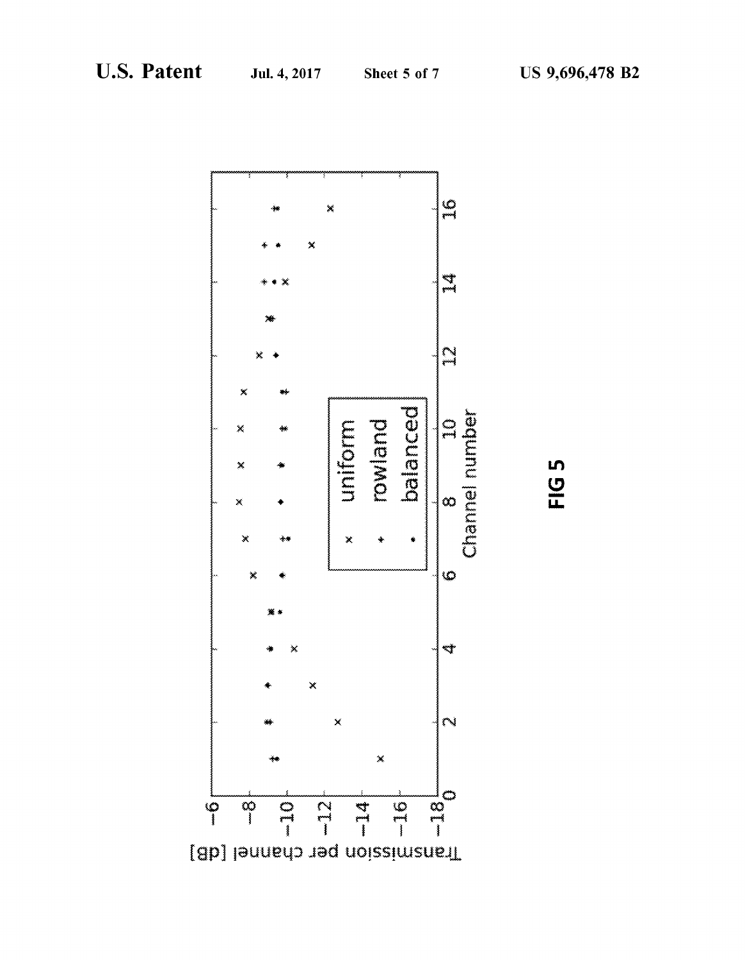

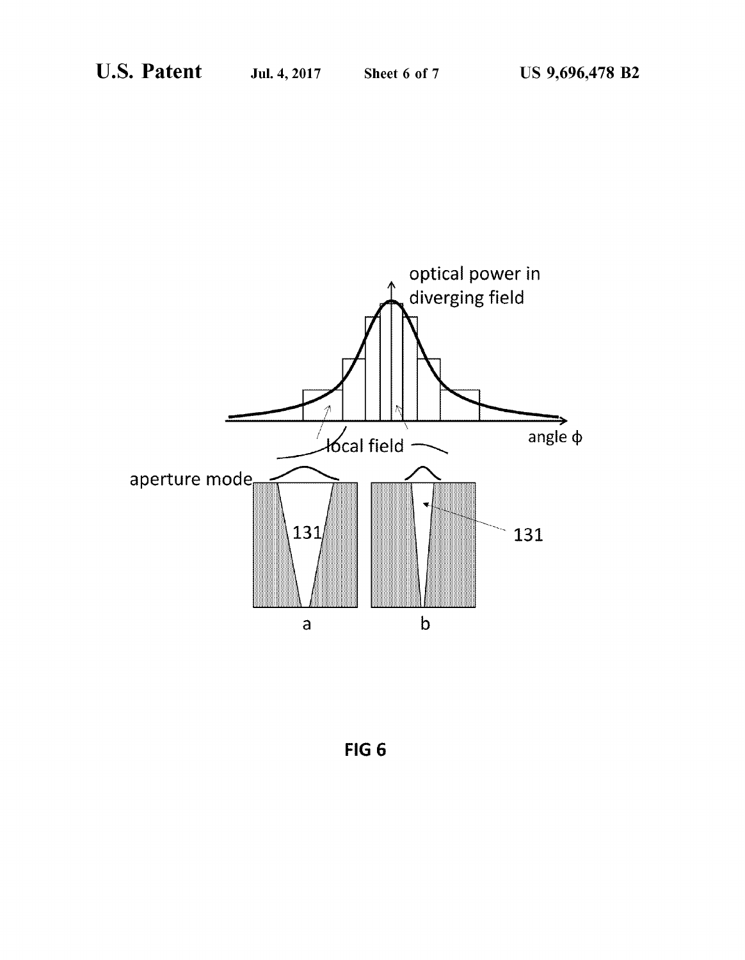

FIG<sub>6</sub>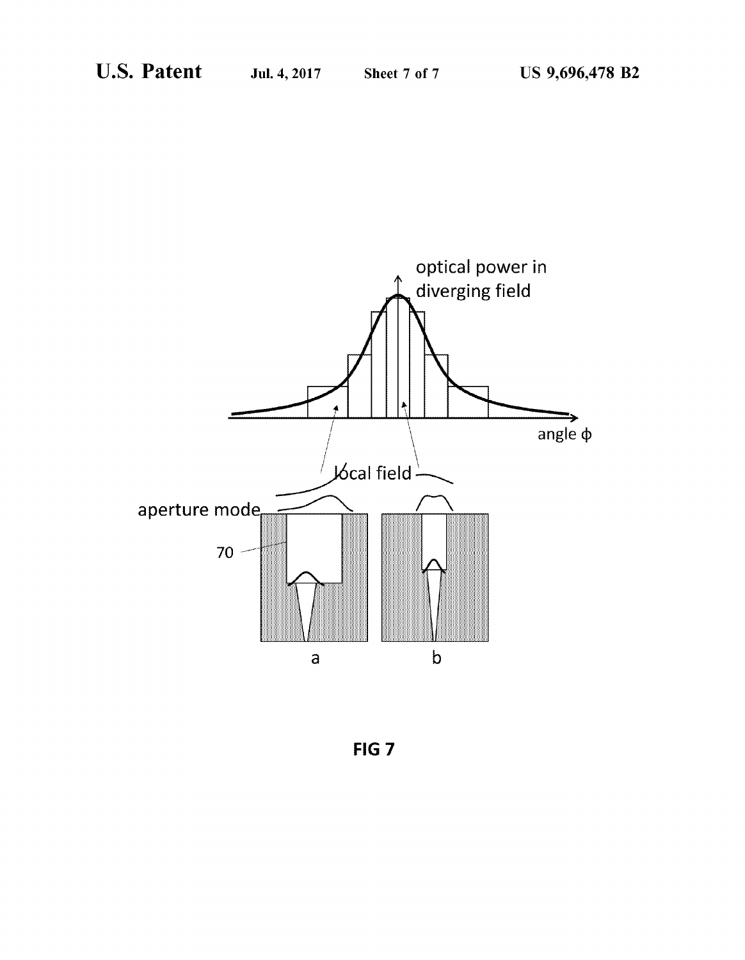

FIG<sub>7</sub>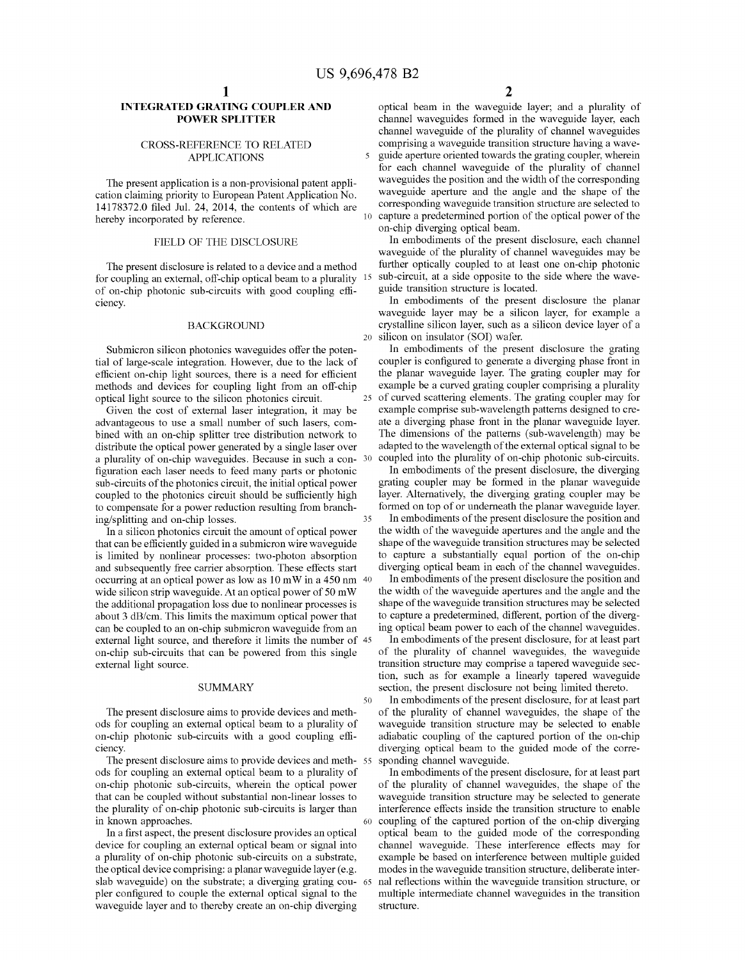#### INTEGRATED GRATING COUPLER AND POWER SPLITTER

#### CROSS-REFERENCE TO RELATED APPLICATIONS

The present application is a non-provisional patent application claiming priority to European Patent Application No. 14178372.0 filed Jul. 24, 2014, the contents of which are hereby incorporated by reference.

#### FIELD OF THE DISCLOSURE

The present disclosure is related to a device and a method for coupling an external, off-chip optical beam to a plurality of on-chip photonic sub-circuits with good coupling efficiency.

#### BACKGROUND

Submicron silicon photonics waveguides offer the potential of large-scale integration. However, due to the lack of efficient on-chip light sources, there is a need for efficient methods and devices for coupling light from an off-chip optical light source to the silicon photonics circuit.

Given the cost of external laser integration, it may be advantageous to use a small number of such lasers, combined with an on-chip splitter tree distribution network to distribute the optical power generated by a single laser over a plurality of on-chip waveguides. Because in such a configuration each laser needs to feed many parts or photonic sub-circuits of the photonics circuit, the initial optical power coupled to the photonics circuit should be sufficiently high to compensate for a power reduction resulting from branching/splitting and on-chip losses.

In a silicon photonics circuit the amount of optical power that can be efficiently guided in a submicron wire waveguide is limited by nonlinear processes: two-photon absorption and subsequently free carrier absorption. These effects start occurring at an optical power as low as 10 mW in a 450 nm wide silicon strip waveguide. At an optical power of 50 mW the additional propagation loss due to nonlinear processes is about 3 dB/cm. This limits the maximum optical power that can be coupled to an on-chip submicron waveguide from an external light source, and therefore it limits the number of 45 on-chip sub-circuits that can be powered from this single external light source.

#### **SUMMARY**

The present disclosure aims to provide devices and methods for coupling an external optical beam to a plurality of on-chip photonic sub-circuits with a good coupling efficiency.

The present disclosure aims to provide devices and methods for coupling an external optical beam to a plurality of on-chip photonic sub-circuits, wherein the optical power that can be coupled without substantial non-linear losses to the plurality of on-chip photonic sub-circuits is larger than in known approaches.

In a first aspect, the present disclosure provides an optical device for coupling an external optical beam or signal into a plurality of on-chip photonic sub-circuits on a substrate, the optical device comprising: a planar waveguide layer (e.g. slab waveguide) on the substrate; a diverging grating coupler configured to couple the external optical signal to the waveguide layer and to thereby create an on-chip diverging

optical beam in the waveguide layer; and a plurality of channel waveguides formed in the waveguide layer, each channel waveguide of the plurality of channel waveguides comprising a waveguide transition structure having a wave-5 guide aperture oriented towards the grating coupler, wherein for each channel waveguide of the plurality of channel waveguides the position and the width of the corresponding waveguide aperture and the angle and the shape of the corresponding waveguide transition structure are selected to capture a predetermined portion of the optical power of the on-chip diverging optical beam.

In embodiments of the present disclosure, each channel waveguide of the plurality of channel waveguides may be further optically coupled to at least one on-chip photonic sub-circuit, at a side opposite to the side where the waveguide transition structure is located.

In embodiments of the present disclosure the planar waveguide layer may be a silicon layer, for example a crystalline silicon layer, such as a silicon device layer of a 20 silicon on insulator (SOI) wafer.

In embodiments of the present disclosure the grating coupler is configured to generate a diverging phase front in the planar waveguide layer. The grating coupler may for example be a curved grating coupler comprising a plurality 25 of curved scattering elements. The grating coupler may for example comprise sub-wavelength patterns designed to create a diverging phase front in the planar waveguide layer. The dimensions of the patterns (sub-wavelength) may be adapted to the wavelength of the external optical signal to be coupled into the plurality of on-chip photonic sub-circuits.

In embodiments of the present disclosure, the diverging grating coupler may be formed in the planar waveguide layer. Alternatively, the diverging grating coupler may be formed on top of or underneath the planar waveguide layer.

In embodiments of the present disclosure the position and the width of the waveguide apertures and the angle and the shape of the waveguide transition structures may be selected to capture a substantially equal portion of the on-chip diverging optical beam in each of the channel waveguides.

In embodiments of the present disclosure the position and the width of the waveguide apertures and the angle and the shape of the waveguide transition structures may be selected to capture a predetermined, different, portion of the diverging optical beam power to each of the channel waveguides.

In embodiments of the present disclosure, for at least part of the plurality of channel waveguides, the waveguide transition structure may comprise a tapered waveguide section, such as for example a linearly tapered waveguide section, the present disclosure not being limited thereto.

50 In embodiments of the present disclosure, for at least part of the plurality of channel waveguides, the shape of the waveguide transition structure may be selected to enable adiabatic coupling of the captured portion of the on-chip diverging optical beam to the guided mode of the corresponding channel waveguide.

In embodiments of the present disclosure, for at least part of the plurality of channel waveguides, the shape of the waveguide transition structure may be selected to generate interference effects inside the transition structure to enable 60 coupling of the captured portion of the on-chip diverging optical beam to the guided mode of the corresponding channel waveguide. These interference effects may for example be based on interference between multiple guided modes in the waveguide transition structure, deliberate internal reflections within the waveguide transition structure, or multiple intermediate channel waveguides in the transition structure.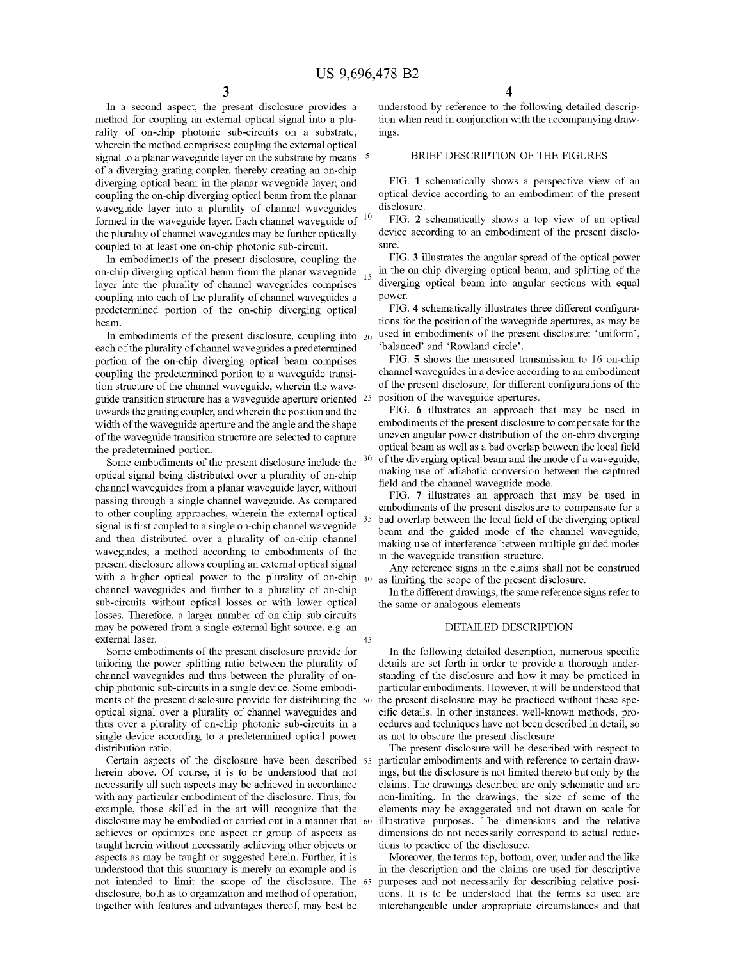In a second aspect, the present disclosure provides a method for coupling an external optical signal into a plurality of on-chip photonic sub-circuits on a substrate, wherein the method comprises: coupling the external optical signal to a planar waveguide layer on the substrate by means <sup>5</sup> of a diverging grating coupler, thereby creating an on-chip diverging optical beam in the planar waveguide layer; and coupling the on-chip diverging optical beam from the planar waveguide layer into a plurality of channel waveguides formed in the waveguide layer. Each channel waveguide of <sup>10</sup> the plurality of channel waveguides may be further optically coupled to at least one on-chip photonic sub-circuit.

In embodiments of the present disclosure, coupling the on-chip diverging optical beam from the planar waveguide  $_{15}$ layer into the plurality of channel waveguides comprises coupling into each of the plurality of channel waveguides a predetermined portion of the on-chip diverging optical beam.

In embodiments of the present disclosure, coupling into 20 each of the plurality of channel waveguides a predetermined portion of the on-chip diverging optical beam comprises coupling the predetermined portion to a waveguide transition structure of the channel waveguide, wherein the waveguide transition structure has a waveguide aperture oriented 25 towards the grating coupler, and wherein the position and the width of the waveguide aperture and the angle and the shape of the waveguide transition structure are selected to capture the predetermined portion.

Some embodiments of the present disclosure include the optical signal being distributed over a plurality of on-chip channel waveguides from a planar waveguide layer, without passing through a single channel waveguide. As compared to other coupling approaches, wherein the external optical  $35$ signal is first coupled to a single on-chip channel waveguide and then distributed over a plurality of on-chip channel waveguides, a method according to embodiments of the present disclosure allows coupling an external optical signal with a higher optical power to the plurality of on-chip  $_{40}$ channel waveguides and further to a plurality of on-chip sub-circuits without optical losses or with lower optical losses. Therefore, a larger number of on-chip sub-circuits may be powered from a single external light source, e.g. an external laser. 45

Some embodiments of the present disclosure provide for tailoring the power splitting ratio between the plurality of channel waveguides and thus between the plurality of onchip photonic sub-circuits in a single device. Some embodiments of the present disclosure provide for distributing the 50 optical signal over a plurality of channel waveguides and thus over a plurality of on-chip photonic sub-circuits in a single device according to a predetermined optical power distribution ratio.

Certain aspects of the disclosure have been described <sup>55</sup> herein above, Of course, it is to be understood that not necessarily all such aspects may be achieved in accordance with any particular embodiment of the disclosure. Thus, for example, those skilled in the art will recognize that the disclosure may be embodied or carried out in a manner that 60 achieves or optimizes one aspect or group of aspects as taught herein without necessarily achieving other objects or aspects as may be taught or suggested herein. Further, it is understood that this summary is merely an example and is not intended to limit the scope of the disclosure. The 65 disclosure, both as to organization and method of operation, together with features and advantages thereof, may best be

understood by reference to the following detailed description when read in conjunction with the accompanying drawings.

#### BRIEF DESCRIPTION OF THE FIGURES

FIG. 1 schematically shows a perspective view of an optical device according to an embodiment of the present disclosure.

FIG. 2 schematically shows a top view of an optical device according to an embodiment of the present disclosure.

FIG. 3 illustrates the angular spread of the optical power in the on-chip diverging optical beam, and splitting of the diverging optical beam into angular sections with equal power.

FIG. 4 schematically illustrates three different configurations for the position of the waveguide apertures, as may be used in embodiments of the present disclosure: 'uniform', 'balanced' and 'Rowland circle'.

FIG. S shows the measured transmission to 16 on-chip channel waveguides in a device according to an embodiment of the present disclosure, for different configurations of the position of the waveguide apertures.

FIG. 6 illustrates an approach that may be used in embodiments of the present disclosure to compensate for the uneven angular power distribution of the on-chip diverging optical beam as well as a bad overlap between the local field of the diverging optical beam and the mode of a waveguide, making use of adiabatic conversion between the captured field and the channel waveguide mode.

FIG. 7 illustrates an approach that may be used in embodiments of the present disclosure to compensate for a bad overlap between the local field of the diverging optical beam and the guided mode of the channel waveguide, making use of interference between multiple guided modes in the waveguide transition structure.

Any reference signs in the claims shall not be construed as limiting the scope of the present disclosure.

In the different drawings, the same reference signs refer to the same or analogous elements.

#### DETAILED DESCRIPTION

In the following detailed description, numerous specific details are set forth in order to provide a thorough understanding of the disclosure and how it may be practiced in particular embodiments. However, it will be understood that the present disclosure may be practiced without these specific details. In other instances, well-known methods, procedures and techniques have not been described in detail, so as not to obscure the present disclosure.

The present disclosure will be described with respect to particular embodiments and with reference to certain drawings, but the disclosure is not limited thereto but only by the claims. The drawings described are only schematic and are non-limiting. In the drawings, the size of some of the elements may be exaggerated and not drawn on scale for illustrative purposes. The dimensions and the relative dimensions do not necessarily correspond to actual reductions to practice of the disclosure.

Moreover, the terms top, bottom, over, under and the like in the description and the claims are used for descriptive purposes and not necessarily for describing relative positions. It is to be understood that the terms so used are interchangeable under appropriate circumstances and that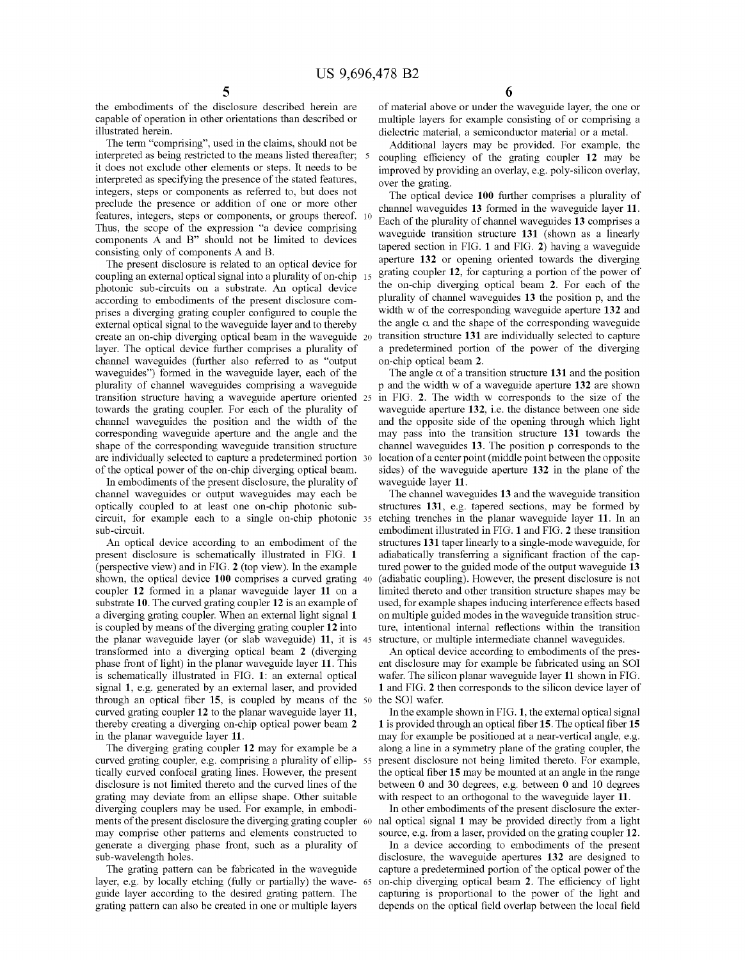the embodiments of the disclosure described herein are capable of operation in other orientations than described or illustrated herein.

The term "comprising", used in the claims, should not be interpreted as being restricted to the means listed thereafter; it does not exclude other elements or steps. It needs to be interpreted as specifying the presence of the stated features, integers, steps or components as referred to, but does not preclude the presence or addition of one or more other features, integers, steps or components, or groups thereof. 10 Thus, the scope of the expression "a device comprising components A and B" should not be limited to devices consisting only of components A and B.

The present disclosure is related to an optical device for coupling an external optical signal into a plurality of on-chip photonic sub-circuits on a substrate. An optical device according to embodiments of the present disclosure comprises a diverging grating coupler configured to couple the external optical signal to the waveguide layer and to thereby create an on-chip diverging optical beam in the waveguide layer. The optical device further comprises a plurality of channel waveguides (further also referred to as "output waveguides") formed in the waveguide layer, each of the plurality of channel waveguides comprising a waveguide transition structure having a waveguide aperture oriented towards the grating coupler. For each of the plurality of channel waveguides the position and the width of the corresponding waveguide aperture and the angle and the shape of the corresponding waveguide transition structure are individually selected to capture a predetermined portion of the optical power of the on-chip diverging optical beam.

In embodiments of the present disclosure, the plurality of channel waveguides or output waveguides may each be optically coupled to at least one on-chip photonic subcircuit, for example each to a single on-chip photonic sub-circuit.

An optical device according to an embodiment of the present disclosure is schematically illustrated in FIG. 1 (perspective view) and in FIG. 2 (top view). In the example shown, the optical device 100 comprises a curved grating 40 coupler 12 formed in a planar waveguide layer 11 on a substrate 10. The curved grating coupler 12 is an example of a diverging grating coupler. When an external light signal 1 is coupled by means of the diverging grating coupler 12 into the planar waveguide layer (or slab waveguide) 11, it is transformed into a diverging optical beam 2 (diverging phase front of light) in the planar waveguide layer 11. This is schematically illustrated in FIG. 1: an external optical signal 1, e.g. generated by an external laser, and provided through an optical fiber 15, is coupled by means of the 50 the SOI wafer. curved grating coupler 12 to the planar waveguide layer 11, thereby creating a diverging on-chip optical power beam 2 in the planar waveguide layer 11.

The diverging grating coupler 12 may for example be a curved grating coupler, e.g. comprising a plurality of elliptically curved confocal grating lines. However, the present disclosure is not limited thereto and the curved lines of the grating may deviate from an ellipse shape. Other suitable diverging couplers may be used. For example, in embodiments of the present disclosure the diverging grating coupler 60 may comprise other patterns and elements constructed to generate a diverging phase front, such as a plurality of sub-wavelength holes.

The grating pattern can be fabricated in the waveguide layer, e.g. by locally etching (fully or partially) the waveguide layer according to the desired grating pattern. The grating pattern can also be created in one or multiple layers

of material above or under the waveguide layer, the one or multiple layers for example consisting of or comprising a dielectric material, a semiconductor material or a metal.

Additional layers may be provided. For example, the 5 coupling efficiency of the grating coupler 12 may be improved by providing an overlay, e.g. poly-silicon overlay, over the grating.

The optical device 100 further comprises a plurality of channel waveguides 13 formed in the waveguide layer 11. Each of the plurality of channel waveguides 13 comprises a waveguide transition structure 131 (shown as a linearly tapered section in FIG. 1 and FIG. 2) having a waveguide aperture 132 or opening oriented towards the diverging grating coupler 12, for capturing a portion of the power of the on-chip diverging optical beam 2. For each of the plurality of channel waveguides 13 the position p, and the width w of the corresponding waveguide aperture 132 and the angle  $\alpha$  and the shape of the corresponding waveguide transition structure 131 are individually selected to capture a predetermined portion of the power of the diverging on-chip optical beam 2.

The angle  $\alpha$  of a transition structure 131 and the position p and the width w of a waveguide aperture 132 are shown in FIG. 2. The width w corresponds to the size of the waveguide aperture 132, i.e. the distance between one side and the opposite side of the opening through which light may pass into the transition structure 131 towards the channel waveguides 13. The position p corresponds to the location of a center point (middle point between the opposite sides) of the waveguide aperture 132 in the plane of the waveguide layer 11.

The channel waveguides 13 and the waveguide transition structures 131, e.g. tapered sections, may be formed by etching trenches in the planar waveguide layer 11. In an embodiment illustrated in FIG. 1 and FIG. 2 these transition structures 131 taper linearly to a single-mode waveguide, for adiabatically transferring a significant fraction of the captured power to the guided mode of the output waveguide 13 (adiabatic coupling). However, the present disclosure is not limited thereto and other transition structure shapes may be used, for example shapes inducing interference effects based on multiple guided modes in the waveguide transition structure, intentional internal reflections within the transition structure, or multiple intermediate channel waveguides.

An optical device according to embodiments of the present disclosure may for example be fabricated using an SOI wafer. The silicon planar waveguide layer 11 shown in FIG. 1 and FIG. 2 then corresponds to the silicon device layer of

In the example shown in FIG. 1, the external optical signal 1 is provided through an optical fiber 15. The optical fiber 15 may for example be positioned at a near-vertical angle, e.g. along a line in a symmetry plane of the grating coupler, the present disclosure not being limited thereto. For example, the optical fiber 15 may be mounted at an angle in the range between 0 and 30 degrees, e.g. between 0 and 10 degrees with respect to an orthogonal to the waveguide layer 11.

In other embodiments of the present disclosure the external optical signal 1 may be provided directly from a light source, e.g. from a laser, provided on the grating coupler 12.

In a device according to embodiments of the present disclosure, the waveguide apertures 132 are designed to capture a predetermined portion of the optical power of the on-chip diverging optical beam 2. The efficiency of light capturing is proportional to the power of the light and depends on the optical field overlap between the local field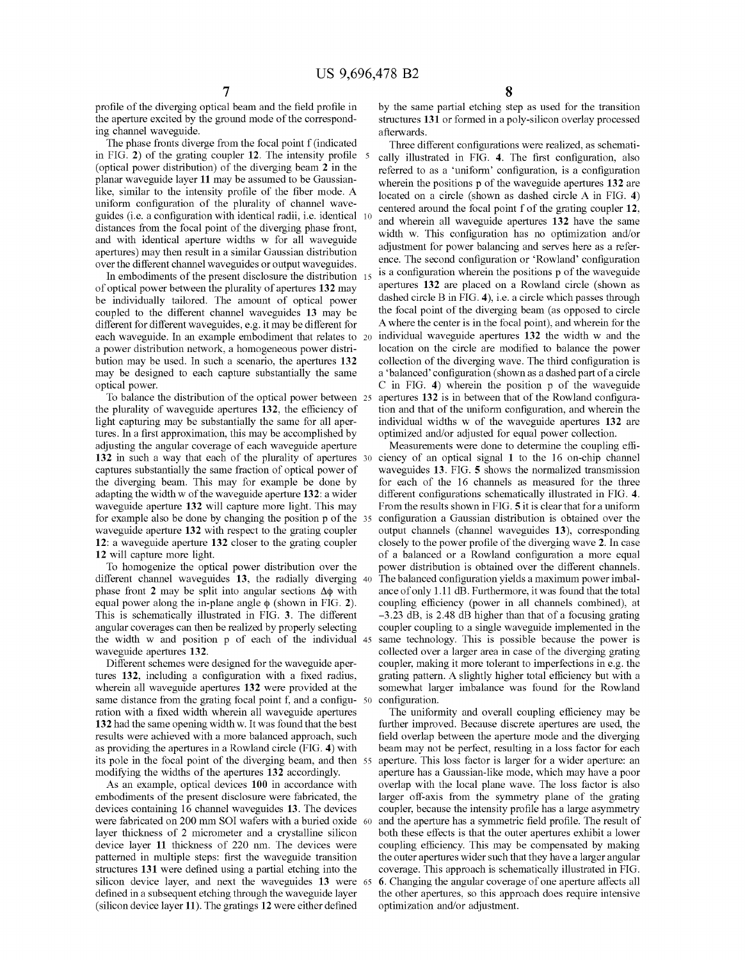profile of the diverging optical beam and the field profile in the aperture excited by the ground mode of the corresponding channel waveguide.

The phase fronts diverge from the focal point f (indicated in FIG. 2) of the grating coupler 12. The intensity profile 5 (optical power distribution) of the diverging beam 2 in the planar waveguide layer 11 may be assumed to be Gaussianlike, similar to the intensity profile of the fiber mode. A uniform configuration of the plurality of channel waveguides (i.e. a configuration with identical radii, i.e. identical distances from the focal point of the diverging phase front, and with identical aperture widths w for all waveguide apertures) may then result in a similar Gaussian distribution over the different channel waveguides or output waveguides.

In embodiments of the present disclosure the distribution 13 of optical power between the plurality of apertures 132 may be individually tailored. The amount of optical power coupled to the different channel waveguides 13 may be different for different waveguides, e.g. it may be different for each waveguide. In an example embodiment that relates to a power distribution network, a homogeneous power distribution may be used. In such a scenario, the apertures 132 may be designed to each capture substantially the same optical power.

To balance the distribution of the optical power between the plurality of waveguide apertures 132, the efficiency of light capturing may be substantially the same for all apertures. In a first approximation, this may be accomplished by adjusting the angular coverage of each waveguide aperture 132 in such a way that each of the plurality of apertures 30 captures substantially the same fraction of optical power of the diverging beam. This may for example be done by adapting the width w of the waveguide aperture 132: a wider waveguide aperture 132 will capture more light. This may for example also be done by changing the position p of the waveguide aperture 132 with respect to the grating coupler 12: a waveguide aperture 132 closer to the grating coupler 12 will capture more light.

To homogenize the optical power distribution over the different channel waveguides 13, the radially diverging 40 phase front 2 may be split into angular sections  $\Delta\phi$  with equal power along the in-plane angle  $\phi$  (shown in FIG. 2). This is schematically illustrated in FIG. 3. The different angular coverages can then be realized by properly selecting the width w and position p of each of the individual waveguide apertures 132.

Different schemes were designed for the waveguide apertures 132, including a configuration with a fixed radius, wherein all waveguide apertures 132 were provided at the same distance from the grating focal point f, and a configu- 50 ration with a fixed width wherein all waveguide apertures 132 had the same opening width w. It was found that the best results were achieved with a more balanced approach, such as providing the apertures in a Rowland circle (FIG. 4) with its pole in the focal point of the diverging beam, and then 55 modifying the widths of the apertures 132 accordingly.

As an example, optical devices 100 in accordance with embodiments of the present disclosure were fabricated, the devices containing 16 channel waveguides 13. The devices were fabricated on 200 mm SOI wafers with a buried oxide 60 layer thickness of 2 micrometer and a crystalline silicon device layer 11 thickness of 220 nm. The devices were patterned in multiple steps: first the waveguide transition structures 131 were defined using a partial etching into the silicon device layer, and next the waveguides 13 were 65 defined in a subsequent etching through the waveguide layer (silicon device layer 11). The gratings 12 were either defined

by the same partial etching step as used for the transition structures 131 or formed in a poly-silicon overlay processed afterwards.

Three different configurations were realized, as schemati-5 cally illustrated in FIG. 4. The first configuration, also referred to as a 'uniform' configuration, is a configuration wherein the positions p of the waveguide apertures 132 are located on a circle (shown as dashed circle A in FIG. 4) centered around the focal point f of the grating coupler 12, and wherein all waveguide apertures 132 have the same width w. This configuration has no optimization and/or adjustment for power balancing and serves here as a reference. The second configuration or 'Rowland' configuration is a configuration wherein the positions p of the waveguide apertures 132 are placed on a Rowland circle (shown as dashed circle B in FIG. 4), i.e. a circle which passes through the focal point of the diverging beam (as opposed to circle Awhere the center is in the focal point), and wherein for the individual waveguide apertures 132 the width w and the location on the circle are modified to balance the power collection of the diverging wave. The third confguration is a'balanced' configuration (shown as a dashed part of a circle C in FIG. 4) wherein the position p of the waveguide apertures 132 is in between that of the Rowland configuration and that of the uniform configuration, and wherein the individual widths w of the waveguide apertures 132 are optimized and/or adjusted for equal power collection.

Measurements were done to determine the coupling efficiency of an optical signal 1 to the 16 on-chip channel waveguides 13. FIG. S shows the normalized transmission for each of the 16 channels as measured for the three different configurations schematically illustrated in FIG. 4. From the results shown in FIG. S it is clear that for a uniform configuration a Gaussian distribution is obtained over the output channels (channel waveguides 13), corresponding closely to the power profile of the diverging wave 2. In case of a balanced or a Rowland configuration a more equal power distribution is obtained over the different channels. The balanced configuration yields a maximum power imbalance of only 1.11 dB. Furthermore, it was found that the total coupling efficiency (power in all channels combined), at —3.23 dB, is 2.48 dB higher than that of a focusing grating coupler coupling to a single waveguide implemented in the same technology. This is possible because the power is collected over a larger area in case of the diverging grating coupler, making it more tolerant to imperfections in e.g. the grating pattern. A slightly higher total efficiency but with a somewhat larger imbalance was found for the Rowland configuration.

The uniformity and overall coupling efficiency may be further improved. Because discrete apertures are used, the field overlap between the aperture mode and the diverging beam may not be perfect, resulting in a loss factor for each aperture. This loss factor is larger for a wider aperture: an aperture has a Gaussian-like mode, which may have a poor overlap with the local plane wave. The loss factor is also larger off-axis from the symmetry plane of the grating coupler, because the intensity profile has a large asymmetry and the aperture has a symmetric field profile. The result of both these effects is that the outer apertures exhibit a lower coupling efficiency. This may be compensated by making the outer apertures wider such that they have a larger angular coverage. This approach is schematically illustrated in FIG. 65 6. Changing the angular coverage of one aperture affects all the other apertures, so this approach does require intensive optimization and/or adjustment.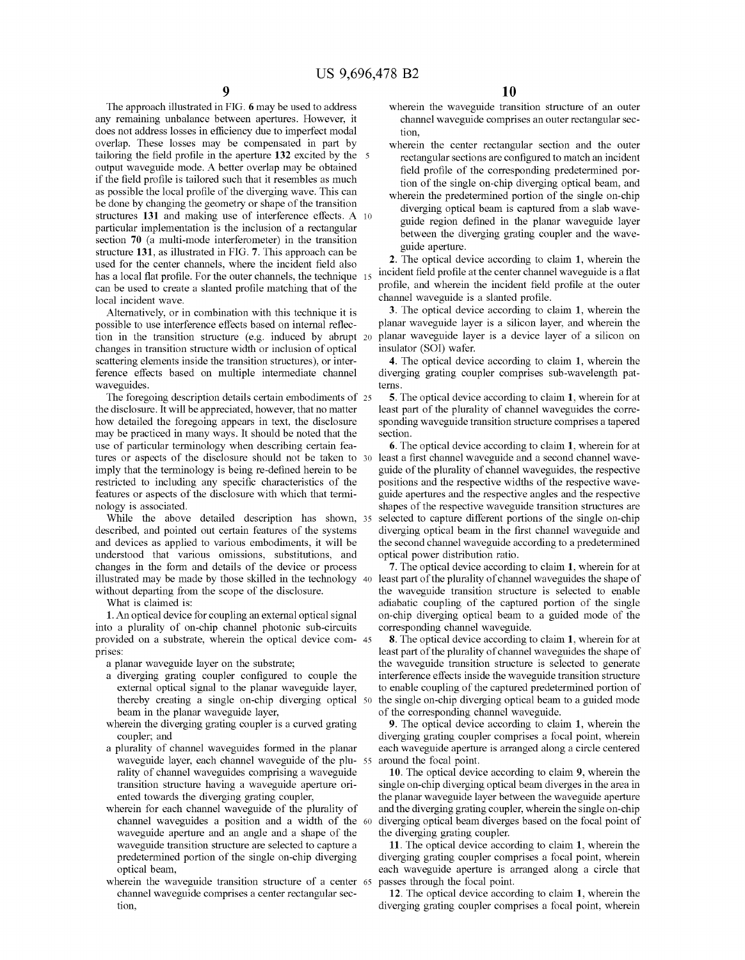The approach illustrated in FIG. 6 may be used to address any remaining unbalance between apertures. However, it does not address losses in efliciency due to imperfect modal overlap. These losses may be compensated in part by tailoring the field profile in the aperture 132 excited by the 5 output waveguide mode. A better overlap may be obtained if the field profile is tailored such that it resembles as much as possible the local profile of the diverging wave. This can be done by changing the geometry or shape of the transition structures 131 and making use of interference effects. A <sup>10</sup> particular implementation is the inclusion of a rectangular section 70 (a multi-mode interferometer) in the transition structure 131, as illustrated in FIG. 7. This approach can be used for the center channels, where the incident field also has a local flat profile. For the outer channels, the technique 15 can be used to create a slanted profile matching that of the local incident wave.

Alternatively, or in combination with this technique it is possible to use interference effects based on internal reflection in the transition structure (e.g. induced by abrupt 20 changes in transition structure width or inclusion of optical scattering elements inside the transition structures), or interference effects based on multiple intermediate channel waveguides.

The foregoing description details certain embodiments of 25 the disclosure. It will be appreciated, however, that no matter how detailed the foregoing appears in text, the disclosure may be practiced in many ways. It should be noted that the use of particular terminology when describing certain features or aspects of the disclosure should not be taken to 30 imply that the terminology is being re-defined herein to be restricted to including any specific characteristics of the features or aspects of the disclosure with which that terminology is associated.

While the above detailed description has shown, <sup>35</sup> described, and pointed out certain features of the systems and devices as applied to various embodiments, it will be understood that various omissions, substitutions, and changes in the form and details of the device or process illustrated may be made by those skilled in the technology 40 least part of the plurality of channel waveguides the shape of without departing from the scope of the disclosure.

What is claimed is:

1. An optical device for coupling an external optical signal into a plurality of on-chip channel photonic sub-circuits provided on a substrate, wherein the optical device com- 45 prises:

a planar waveguide layer on the substrate;

- a diverging grating coupler configured to couple the external optical signal to the planar waveguide layer, thereby creating a single on-chip diverging optical 50 beam in the planar waveguide layer,
- wherein the diverging grating coupler is a curved grating coupler; and
- a plurality of channel waveguides formed in the planar waveguide layer, each channel waveguide of the plu- <sup>55</sup> rality of channel waveguides comprising a waveguide transition structure having a waveguide aperture oriented towards the diverging grating coupler,
- wherein for each channel waveguide of the plurality of channel waveguides a position and a width of the 60 waveguide aperture and an angle and a shape of the waveguide transition structure are selected to capture a predetermined portion of the single on-chip diverging optical beam,
- wherein the waveguide transition structure of a center <sup>65</sup> channel waveguide comprises a center rectangular section,
- wherein the waveguide transition structure of an outer channel waveguide comprises an outer rectangular section,
- wherein the center rectangular section and the outer rectangular sections are configured to match an incident field profile of the corresponding predetermined portion of the single on-chip diverging optical beam, and
- wherein the predetermined portion of the single on-chip diverging optical beam is captured from a slab waveguide region defined in the planar waveguide layer between the diverging grating coupler and the waveguide aperture.

2. The optical device according to claim 1, wherein the incident field profile at the center channel waveguide is a flat profile, and wherein the incident field profile at the outer channel waveguide is a slanted profile.

3. The optical device according to claim 1, wherein the planar waveguide layer is a silicon layer, and wherein the planar waveguide layer is a device layer of a silicon on insulator (SQl) wafer.

4. The optical device according to claim 1, wherein the diverging grating coupler comprises sub-wavelength patterns.

5. The optical device according to claim 1, wherein for at least part of the plurality of channel waveguides the corresponding waveguide transition structure comprises a tapered section.

6. The optical device according to claim 1, wherein for at least a first channel waveguide and a second channel waveguide of the plurality of channel waveguides, the respective positions and the respective widths of the respective waveguide apertures and the respective angles and the respective shapes of the respective waveguide transition structures are selected to capture different portions of the single on-chip diverging optical beam in the first channel waveguide and the second channel waveguide according to a predetermined optical power distribution ratio.

7. The optical device according to claim 1, wherein for at the waveguide transition structure is selected to enable adiabatic coupling of the captured portion of the single on-chip diverging optical beam to a guided mode of the corresponding channel waveguide.

8. The optical device according to claim 1, wherein for at least part of the plurality of channel waveguides the shape of the waveguide transition structure is selected to generate interference effects inside the waveguide transition structure to enable coupling of the captured predetermined portion of the single on-chip diverging optical beam to a guided mode of the corresponding channel waveguide.

9. The optical device according to claim 1, wherein the diverging grating coupler comprises a focal point, wherein each waveguide aperture is arranged along a circle centered around the focal point.

10. The optical device according to claim 9, wherein the single on-chip diverging optical beam diverges in the area in the planar waveguide layer between the waveguide aperture and the diverging grating coupler, wherein the single on-chip diverging optical beam diverges based on the focal point of the diverging grating coupler.

11. The optical device according to claim 1, wherein the diverging grating coupler comprises a focal point, wherein each waveguide aperture is arranged along a circle that passes through the focal point.

12. The optical device according to claim 1, wherein the diverging grating coupler comprises a focal point, wherein